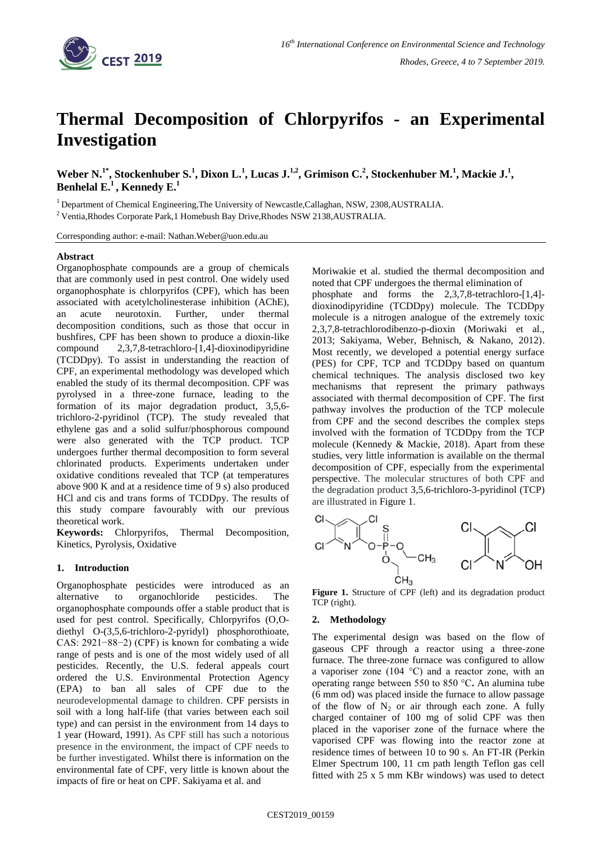

# **Thermal Decomposition of Chlorpyrifos - an Experimental Investigation**

**Weber N.1\*, Stockenhuber S.<sup>1</sup> , Dixon L.<sup>1</sup> , Lucas J.1,2, Grimison C.<sup>2</sup> , Stockenhuber M.<sup>1</sup> , Mackie J.<sup>1</sup> , Benhelal E.<sup>1</sup> , Kennedy E.<sup>1</sup>**

<sup>1</sup> Department of Chemical Engineering, The University of Newcastle, Callaghan, NSW, 2308, AUSTRALIA.

<sup>2</sup> Ventia,Rhodes Corporate Park,1 Homebush Bay Drive,Rhodes NSW 2138,AUSTRALIA.

Corresponding author: e-mail: Nathan.Weber@uon.edu.au

# **Abstract**

Organophosphate compounds are a group of chemicals that are commonly used in pest control. One widely used organophosphate is chlorpyrifos (CPF), which has been associated with acetylcholinesterase inhibition (AChE), an acute neurotoxin. Further, under thermal decomposition conditions, such as those that occur in bushfires, CPF has been shown to produce a dioxin-like compound 2,3,7,8-tetrachloro-[1,4]-dioxinodipyridine (TCDDpy). To assist in understanding the reaction of CPF, an experimental methodology was developed which enabled the study of its thermal decomposition. CPF was pyrolysed in a three-zone furnace, leading to the formation of its major degradation product, 3,5,6 trichloro-2-pyridinol (TCP). The study revealed that ethylene gas and a solid sulfur/phosphorous compound were also generated with the TCP product. TCP undergoes further thermal decomposition to form several chlorinated products. Experiments undertaken under oxidative conditions revealed that TCP (at temperatures above 900 K and at a residence time of 9 s) also produced HCl and cis and trans forms of TCDDpy. The results of this study compare favourably with our previous theoretical work.

**Keywords:** Chlorpyrifos, Thermal Decomposition, Kinetics, Pyrolysis, Oxidative

# **1. Introduction**

Organophosphate pesticides were introduced as an alternative to organochloride pesticides. The organophosphate compounds offer a stable product that is used for pest control. Specifically, Chlorpyrifos (O,Odiethyl O-(3,5,6-trichloro-2-pyridyl) phosphorothioate, CAS: 2921−88−2) (CPF) is known for combating a wide range of pests and is one of the most widely used of all pesticides. Recently, the U.S. federal appeals court ordered the U.S. Environmental Protection Agency (EPA) to ban all sales of CPF due to the neurodevelopmental damage to children. CPF persists in soil with a long half-life (that varies between each soil type) and can persist in the environment from 14 days to 1 year (Howard, 1991). As CPF still has such a notorious presence in the environment, the impact of CPF needs to be further investigated. Whilst there is information on the environmental fate of CPF, very little is known about the impacts of fire or heat on CPF. Sakiyama et al. and

Moriwakie et al. studied the thermal decomposition and noted that CPF undergoes the thermal elimination of

phosphate and forms the 2,3,7,8-tetrachloro-[1,4] dioxinodipyridine (TCDDpy) molecule. The TCDDpy molecule is a nitrogen analogue of the extremely toxic 2,3,7,8-tetrachlorodibenzo-p-dioxin (Moriwaki et al., 2013; Sakiyama, Weber, Behnisch, & Nakano, 2012). Most recently, we developed a potential energy surface (PES) for CPF, TCP and TCDDpy based on quantum chemical techniques. The analysis disclosed two key mechanisms that represent the primary pathways associated with thermal decomposition of CPF. The first pathway involves the production of the TCP molecule from CPF and the second describes the complex steps involved with the formation of TCDDpy from the TCP molecule (Kennedy & Mackie, 2018). Apart from these studies, very little information is available on the thermal decomposition of CPF, especially from the experimental perspective. The molecular structures of both CPF and the degradation product 3,5,6-trichloro-3-pyridinol (TCP) are illustrated in [Figure 1.](#page-0-0)



<span id="page-0-0"></span>Figure 1. Structure of CPF (left) and its degradation product TCP (right).

#### **2. Methodology**

The experimental design was based on the flow of gaseous CPF through a reactor using a three-zone furnace. The three-zone furnace was configured to allow a vaporiser zone (104  $^{\circ}$ C) and a reactor zone, with an operating range between 550 to 850 °C**.** An alumina tube (6 mm od) was placed inside the furnace to allow passage of the flow of  $N_2$  or air through each zone. A fully charged container of 100 mg of solid CPF was then placed in the vaporiser zone of the furnace where the vaporised CPF was flowing into the reactor zone at residence times of between 10 to 90 s. An FT-IR (Perkin Elmer Spectrum 100, 11 cm path length Teflon gas cell fitted with 25 x 5 mm KBr windows) was used to detect